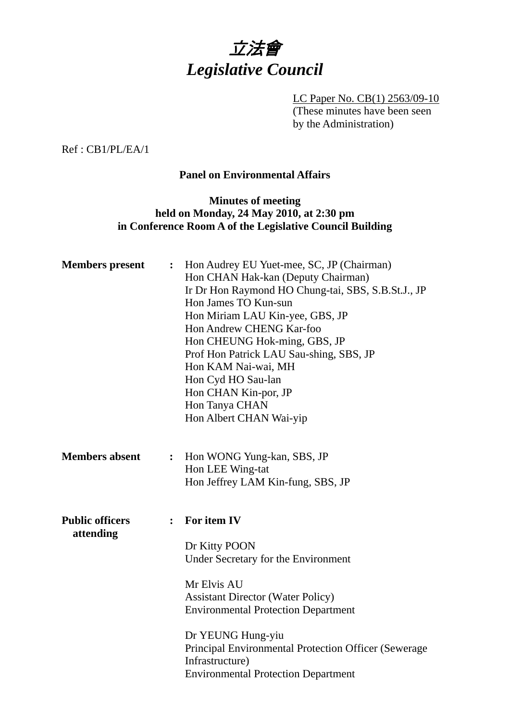

LC Paper No. CB(1) 2563/09-10 (These minutes have been seen by the Administration)

Ref : CB1/PL/EA/1

#### **Panel on Environmental Affairs**

### **Minutes of meeting held on Monday, 24 May 2010, at 2:30 pm in Conference Room A of the Legislative Council Building**

| <b>Members</b> present              | $\ddot{\cdot}$ | Hon Audrey EU Yuet-mee, SC, JP (Chairman)<br>Hon CHAN Hak-kan (Deputy Chairman)<br>Ir Dr Hon Raymond HO Chung-tai, SBS, S.B.St.J., JP<br>Hon James TO Kun-sun<br>Hon Miriam LAU Kin-yee, GBS, JP<br>Hon Andrew CHENG Kar-foo<br>Hon CHEUNG Hok-ming, GBS, JP<br>Prof Hon Patrick LAU Sau-shing, SBS, JP<br>Hon KAM Nai-wai, MH<br>Hon Cyd HO Sau-lan<br>Hon CHAN Kin-por, JP<br>Hon Tanya CHAN<br>Hon Albert CHAN Wai-yip |
|-------------------------------------|----------------|---------------------------------------------------------------------------------------------------------------------------------------------------------------------------------------------------------------------------------------------------------------------------------------------------------------------------------------------------------------------------------------------------------------------------|
| <b>Members absent</b>               | $\ddot{\cdot}$ | Hon WONG Yung-kan, SBS, JP<br>Hon LEE Wing-tat<br>Hon Jeffrey LAM Kin-fung, SBS, JP                                                                                                                                                                                                                                                                                                                                       |
| <b>Public officers</b><br>attending | $\ddot{\cdot}$ | For item IV<br>Dr Kitty POON<br>Under Secretary for the Environment<br>Mr Elvis AU<br><b>Assistant Director (Water Policy)</b><br><b>Environmental Protection Department</b><br>Dr YEUNG Hung-yiu<br><b>Principal Environmental Protection Officer (Sewerage)</b><br>Infrastructure)<br><b>Environmental Protection Department</b>                                                                                        |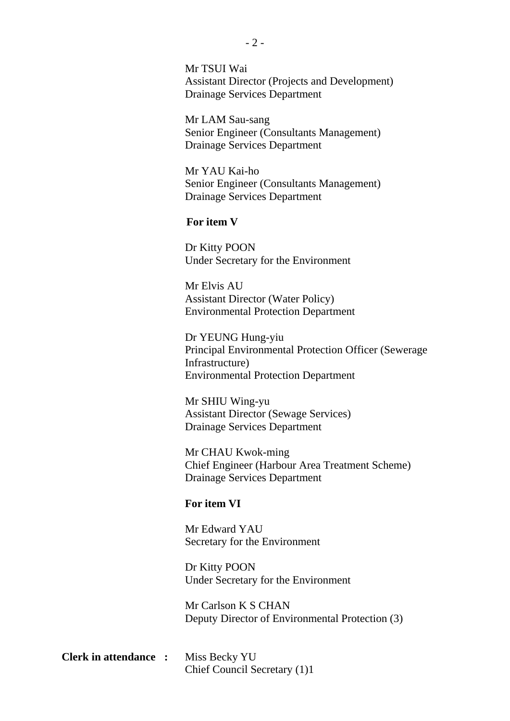Mr TSUI Wai Assistant Director (Projects and Development) Drainage Services Department

Mr LAM Sau-sang Senior Engineer (Consultants Management) Drainage Services Department

Mr YAU Kai-ho Senior Engineer (Consultants Management) Drainage Services Department

#### **For item V**

Dr Kitty POON Under Secretary for the Environment

Mr Elvis AU Assistant Director (Water Policy) Environmental Protection Department

Dr YEUNG Hung-yiu Principal Environmental Protection Officer (Sewerage Infrastructure) Environmental Protection Department

Mr SHIU Wing-yu Assistant Director (Sewage Services) Drainage Services Department

Mr CHAU Kwok-ming Chief Engineer (Harbour Area Treatment Scheme) Drainage Services Department

#### **For item VI**

Mr Edward YAU Secretary for the Environment

Dr Kitty POON Under Secretary for the Environment

Mr Carlson K S CHAN Deputy Director of Environmental Protection (3)

**Clerk in attendance :** Miss Becky YU Chief Council Secretary (1)1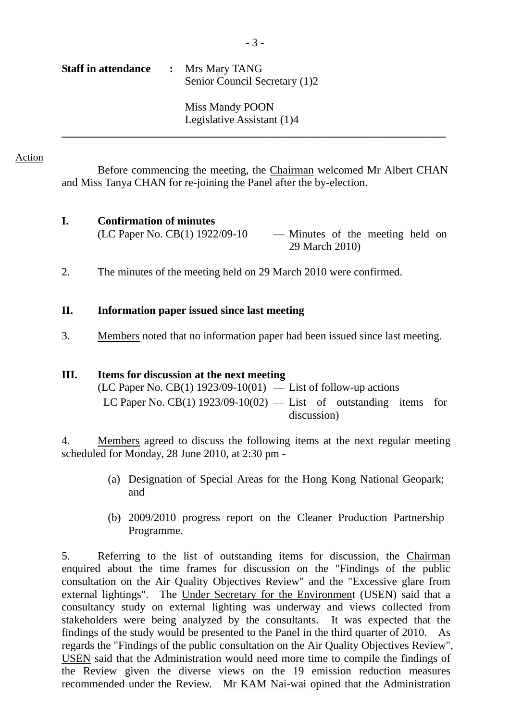Legislative Assistant (1)4 **\_\_\_\_\_\_\_\_\_\_\_\_\_\_\_\_\_\_\_\_\_\_\_\_\_\_\_\_\_\_\_\_\_\_\_\_\_\_\_\_\_\_\_\_\_\_\_\_\_\_\_\_\_\_\_\_\_\_\_\_\_\_\_\_\_\_\_\_\_** 

#### Action

Before commencing the meeting, the Chairman welcomed Mr Albert CHAN and Miss Tanya CHAN for re-joining the Panel after the by-election.

# **I. Confirmation of minutes**

 $(LC$  Paper No.  $CB(1)$  1922/09-10 — Minutes of the meeting held on 29 March 2010)

2. The minutes of the meeting held on 29 March 2010 were confirmed.

## **II. Information paper issued since last meeting**

3. Members noted that no information paper had been issued since last meeting.

## **III. Items for discussion at the next meeting**

(LC Paper No. CB(1) 1923/09-10(01) — List of follow-up actions LC Paper No. CB(1)  $1923/09-10(02)$  — List of outstanding items for discussion)

4. Members agreed to discuss the following items at the next regular meeting scheduled for Monday, 28 June 2010, at 2:30 pm -

- (a) Designation of Special Areas for the Hong Kong National Geopark; and
- (b) 2009/2010 progress report on the Cleaner Production Partnership Programme.

5. Referring to the list of outstanding items for discussion, the Chairman enquired about the time frames for discussion on the "Findings of the public consultation on the Air Quality Objectives Review" and the "Excessive glare from external lightings". The Under Secretary for the Environment (USEN) said that a consultancy study on external lighting was underway and views collected from stakeholders were being analyzed by the consultants. It was expected that the findings of the study would be presented to the Panel in the third quarter of 2010. As regards the "Findings of the public consultation on the Air Quality Objectives Review", USEN said that the Administration would need more time to compile the findings of the Review given the diverse views on the 19 emission reduction measures recommended under the Review. Mr KAM Nai-wai opined that the Administration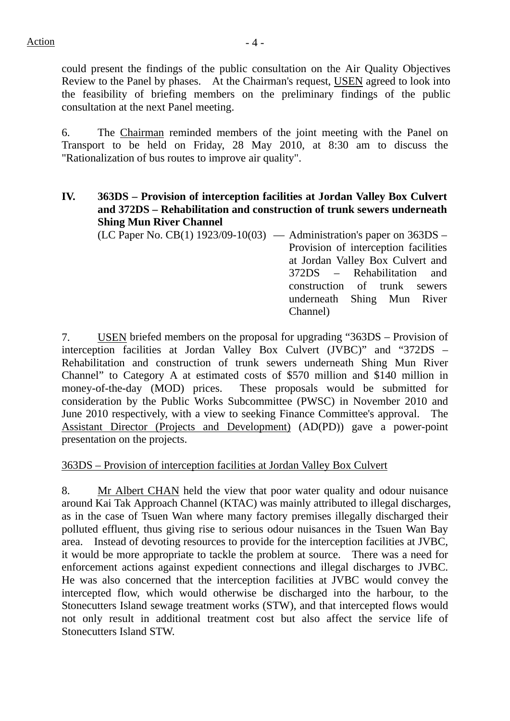could present the findings of the public consultation on the Air Quality Objectives Review to the Panel by phases. At the Chairman's request, USEN agreed to look into the feasibility of briefing members on the preliminary findings of the public consultation at the next Panel meeting.

6. The Chairman reminded members of the joint meeting with the Panel on Transport to be held on Friday, 28 May 2010, at 8:30 am to discuss the "Rationalization of bus routes to improve air quality".

**IV. 363DS – Provision of interception facilities at Jordan Valley Box Culvert and 372DS – Rehabilitation and construction of trunk sewers underneath Shing Mun River Channel**

 $(LC$  Paper No. CB $(1)$  1923/09-10 $(03)$  — Administration's paper on 363DS – Provision of interception facilities at Jordan Valley Box Culvert and 372DS – Rehabilitation and construction of trunk sewers underneath Shing Mun River Channel)

7. USEN briefed members on the proposal for upgrading "363DS – Provision of interception facilities at Jordan Valley Box Culvert (JVBC)" and "372DS – Rehabilitation and construction of trunk sewers underneath Shing Mun River Channel" to Category A at estimated costs of \$570 million and \$140 million in money-of-the-day (MOD) prices. These proposals would be submitted for consideration by the Public Works Subcommittee (PWSC) in November 2010 and June 2010 respectively, with a view to seeking Finance Committee's approval. The Assistant Director (Projects and Development) (AD(PD)) gave a power-point presentation on the projects.

### 363DS – Provision of interception facilities at Jordan Valley Box Culvert

8. Mr Albert CHAN held the view that poor water quality and odour nuisance around Kai Tak Approach Channel (KTAC) was mainly attributed to illegal discharges, as in the case of Tsuen Wan where many factory premises illegally discharged their polluted effluent, thus giving rise to serious odour nuisances in the Tsuen Wan Bay area. Instead of devoting resources to provide for the interception facilities at JVBC, it would be more appropriate to tackle the problem at source. There was a need for enforcement actions against expedient connections and illegal discharges to JVBC. He was also concerned that the interception facilities at JVBC would convey the intercepted flow, which would otherwise be discharged into the harbour, to the Stonecutters Island sewage treatment works (STW), and that intercepted flows would not only result in additional treatment cost but also affect the service life of Stonecutters Island STW.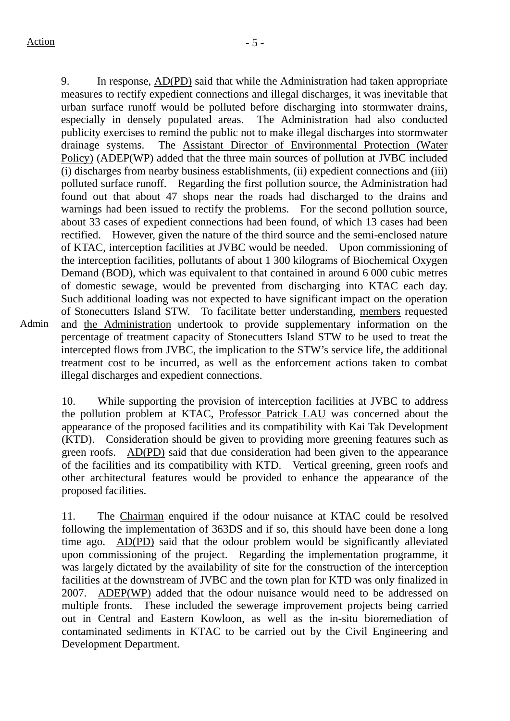Admin

9. In response, AD(PD) said that while the Administration had taken appropriate measures to rectify expedient connections and illegal discharges, it was inevitable that urban surface runoff would be polluted before discharging into stormwater drains, especially in densely populated areas. The Administration had also conducted publicity exercises to remind the public not to make illegal discharges into stormwater drainage systems. The Assistant Director of Environmental Protection (Water Policy) (ADEP(WP) added that the three main sources of pollution at JVBC included (i) discharges from nearby business establishments, (ii) expedient connections and (iii) polluted surface runoff. Regarding the first pollution source, the Administration had found out that about 47 shops near the roads had discharged to the drains and warnings had been issued to rectify the problems. For the second pollution source, about 33 cases of expedient connections had been found, of which 13 cases had been rectified. However, given the nature of the third source and the semi-enclosed nature of KTAC, interception facilities at JVBC would be needed. Upon commissioning of the interception facilities, pollutants of about 1 300 kilograms of Biochemical Oxygen Demand (BOD), which was equivalent to that contained in around 6 000 cubic metres of domestic sewage, would be prevented from discharging into KTAC each day. Such additional loading was not expected to have significant impact on the operation of Stonecutters Island STW. To facilitate better understanding, members requested and the Administration undertook to provide supplementary information on the percentage of treatment capacity of Stonecutters Island STW to be used to treat the intercepted flows from JVBC, the implication to the STW's service life, the additional treatment cost to be incurred, as well as the enforcement actions taken to combat illegal discharges and expedient connections.

10. While supporting the provision of interception facilities at JVBC to address the pollution problem at KTAC, Professor Patrick LAU was concerned about the appearance of the proposed facilities and its compatibility with Kai Tak Development (KTD). Consideration should be given to providing more greening features such as green roofs. AD(PD) said that due consideration had been given to the appearance of the facilities and its compatibility with KTD. Vertical greening, green roofs and other architectural features would be provided to enhance the appearance of the proposed facilities.

11. The Chairman enquired if the odour nuisance at KTAC could be resolved following the implementation of 363DS and if so, this should have been done a long time ago. AD(PD) said that the odour problem would be significantly alleviated upon commissioning of the project. Regarding the implementation programme, it was largely dictated by the availability of site for the construction of the interception facilities at the downstream of JVBC and the town plan for KTD was only finalized in 2007. ADEP(WP) added that the odour nuisance would need to be addressed on multiple fronts. These included the sewerage improvement projects being carried out in Central and Eastern Kowloon, as well as the in-situ bioremediation of contaminated sediments in KTAC to be carried out by the Civil Engineering and Development Department.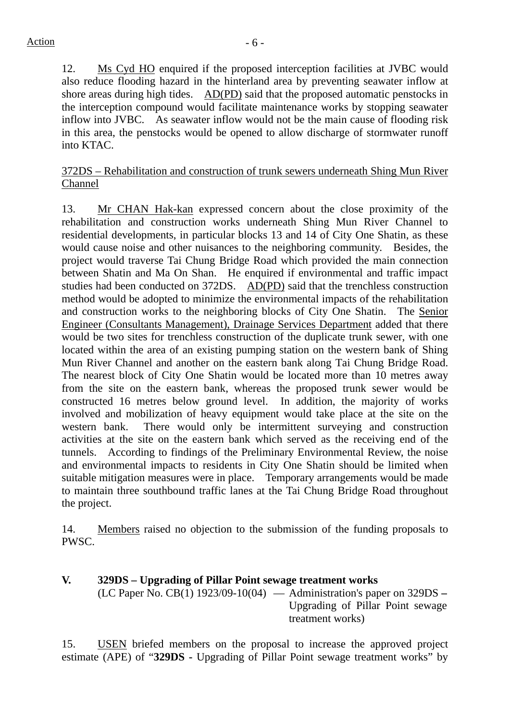12. Ms Cyd HO enquired if the proposed interception facilities at JVBC would also reduce flooding hazard in the hinterland area by preventing seawater inflow at shore areas during high tides. AD(PD) said that the proposed automatic penstocks in the interception compound would facilitate maintenance works by stopping seawater inflow into JVBC. As seawater inflow would not be the main cause of flooding risk in this area, the penstocks would be opened to allow discharge of stormwater runoff into KTAC.

372DS – Rehabilitation and construction of trunk sewers underneath Shing Mun River Channel

13. Mr CHAN Hak-kan expressed concern about the close proximity of the rehabilitation and construction works underneath Shing Mun River Channel to residential developments, in particular blocks 13 and 14 of City One Shatin, as these would cause noise and other nuisances to the neighboring community. Besides, the project would traverse Tai Chung Bridge Road which provided the main connection between Shatin and Ma On Shan. He enquired if environmental and traffic impact studies had been conducted on 372DS. AD(PD) said that the trenchless construction method would be adopted to minimize the environmental impacts of the rehabilitation and construction works to the neighboring blocks of City One Shatin. The Senior Engineer (Consultants Management), Drainage Services Department added that there would be two sites for trenchless construction of the duplicate trunk sewer, with one located within the area of an existing pumping station on the western bank of Shing Mun River Channel and another on the eastern bank along Tai Chung Bridge Road. The nearest block of City One Shatin would be located more than 10 metres away from the site on the eastern bank, whereas the proposed trunk sewer would be constructed 16 metres below ground level. In addition, the majority of works involved and mobilization of heavy equipment would take place at the site on the western bank. There would only be intermittent surveying and construction activities at the site on the eastern bank which served as the receiving end of the tunnels. According to findings of the Preliminary Environmental Review, the noise and environmental impacts to residents in City One Shatin should be limited when suitable mitigation measures were in place. Temporary arrangements would be made to maintain three southbound traffic lanes at the Tai Chung Bridge Road throughout the project.

14. Members raised no objection to the submission of the funding proposals to PWSC.

**V. 329DS – Upgrading of Pillar Point sewage treatment works** (LC Paper No. CB(1) 1923/09-10(04) — Administration's paper on 329DS **–** Upgrading of Pillar Point sewage treatment works)

15. USEN briefed members on the proposal to increase the approved project estimate (APE) of "**329DS -** Upgrading of Pillar Point sewage treatment works" by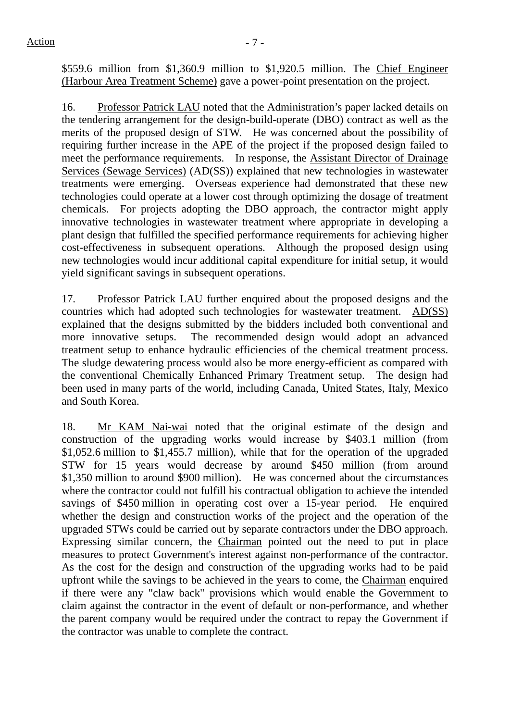\$559.6 million from \$1,360.9 million to \$1,920.5 million. The Chief Engineer (Harbour Area Treatment Scheme) gave a power-point presentation on the project.

16. Professor Patrick LAU noted that the Administration's paper lacked details on the tendering arrangement for the design-build-operate (DBO) contract as well as the merits of the proposed design of STW. He was concerned about the possibility of requiring further increase in the APE of the project if the proposed design failed to meet the performance requirements. In response, the Assistant Director of Drainage Services (Sewage Services) (AD(SS)) explained that new technologies in wastewater treatments were emerging. Overseas experience had demonstrated that these new technologies could operate at a lower cost through optimizing the dosage of treatment chemicals. For projects adopting the DBO approach, the contractor might apply innovative technologies in wastewater treatment where appropriate in developing a plant design that fulfilled the specified performance requirements for achieving higher cost-effectiveness in subsequent operations. Although the proposed design using new technologies would incur additional capital expenditure for initial setup, it would yield significant savings in subsequent operations.

17. Professor Patrick LAU further enquired about the proposed designs and the countries which had adopted such technologies for wastewater treatment. AD(SS) explained that the designs submitted by the bidders included both conventional and more innovative setups. The recommended design would adopt an advanced treatment setup to enhance hydraulic efficiencies of the chemical treatment process. The sludge dewatering process would also be more energy-efficient as compared with the conventional Chemically Enhanced Primary Treatment setup. The design had been used in many parts of the world, including Canada, United States, Italy, Mexico and South Korea.

18. Mr KAM Nai-wai noted that the original estimate of the design and construction of the upgrading works would increase by \$403.1 million (from \$1,052.6 million to \$1,455.7 million), while that for the operation of the upgraded STW for 15 years would decrease by around \$450 million (from around \$1,350 million to around \$900 million). He was concerned about the circumstances where the contractor could not fulfill his contractual obligation to achieve the intended savings of \$450 million in operating cost over a 15-year period. He enquired whether the design and construction works of the project and the operation of the upgraded STWs could be carried out by separate contractors under the DBO approach. Expressing similar concern, the Chairman pointed out the need to put in place measures to protect Government's interest against non-performance of the contractor. As the cost for the design and construction of the upgrading works had to be paid upfront while the savings to be achieved in the years to come, the Chairman enquired if there were any "claw back" provisions which would enable the Government to claim against the contractor in the event of default or non-performance, and whether the parent company would be required under the contract to repay the Government if the contractor was unable to complete the contract.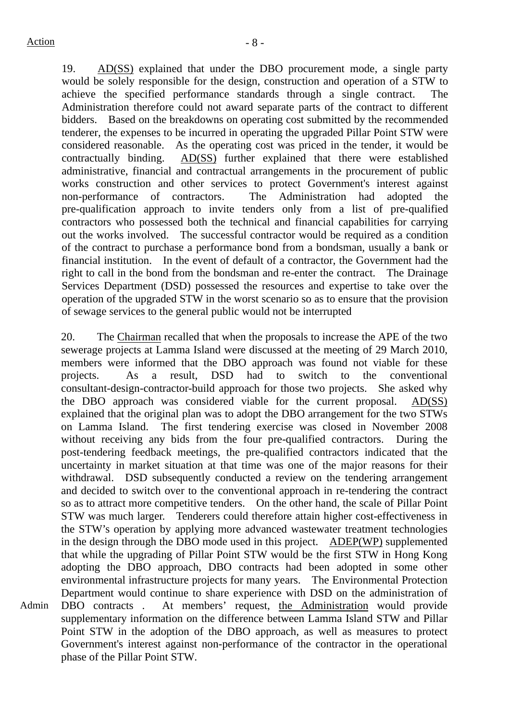Admin

19. AD(SS) explained that under the DBO procurement mode, a single party would be solely responsible for the design, construction and operation of a STW to achieve the specified performance standards through a single contract. The Administration therefore could not award separate parts of the contract to different bidders. Based on the breakdowns on operating cost submitted by the recommended tenderer, the expenses to be incurred in operating the upgraded Pillar Point STW were considered reasonable. As the operating cost was priced in the tender, it would be contractually binding. AD(SS) further explained that there were established administrative, financial and contractual arrangements in the procurement of public works construction and other services to protect Government's interest against non-performance of contractors. The Administration had adopted the pre-qualification approach to invite tenders only from a list of pre-qualified contractors who possessed both the technical and financial capabilities for carrying out the works involved. The successful contractor would be required as a condition of the contract to purchase a performance bond from a bondsman, usually a bank or financial institution. In the event of default of a contractor, the Government had the right to call in the bond from the bondsman and re-enter the contract. The Drainage Services Department (DSD) possessed the resources and expertise to take over the operation of the upgraded STW in the worst scenario so as to ensure that the provision of sewage services to the general public would not be interrupted

20. The Chairman recalled that when the proposals to increase the APE of the two sewerage projects at Lamma Island were discussed at the meeting of 29 March 2010, members were informed that the DBO approach was found not viable for these projects. As a result, DSD had to switch to the conventional consultant-design-contractor-build approach for those two projects. She asked why the DBO approach was considered viable for the current proposal. AD(SS) explained that the original plan was to adopt the DBO arrangement for the two STWs on Lamma Island. The first tendering exercise was closed in November 2008 without receiving any bids from the four pre-qualified contractors. During the post-tendering feedback meetings, the pre-qualified contractors indicated that the uncertainty in market situation at that time was one of the major reasons for their withdrawal. DSD subsequently conducted a review on the tendering arrangement and decided to switch over to the conventional approach in re-tendering the contract so as to attract more competitive tenders. On the other hand, the scale of Pillar Point STW was much larger. Tenderers could therefore attain higher cost-effectiveness in the STW's operation by applying more advanced wastewater treatment technologies in the design through the DBO mode used in this project. ADEP(WP) supplemented that while the upgrading of Pillar Point STW would be the first STW in Hong Kong adopting the DBO approach, DBO contracts had been adopted in some other environmental infrastructure projects for many years. The Environmental Protection Department would continue to share experience with DSD on the administration of DBO contracts . At members' request, the Administration would provide supplementary information on the difference between Lamma Island STW and Pillar Point STW in the adoption of the DBO approach, as well as measures to protect Government's interest against non-performance of the contractor in the operational phase of the Pillar Point STW.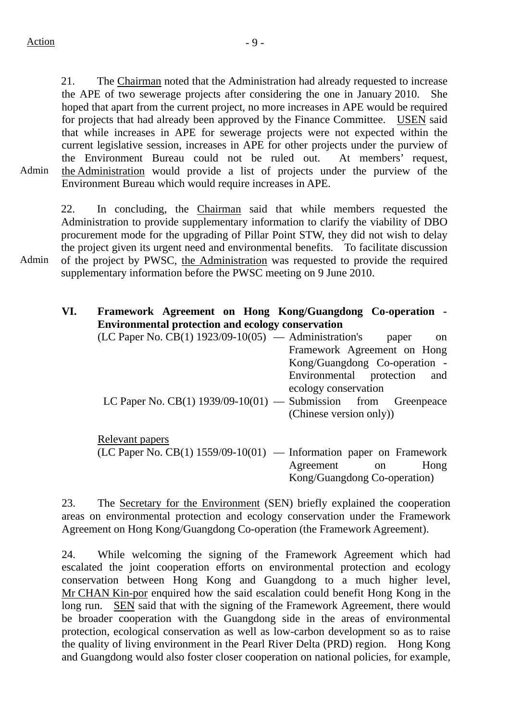Admin 21. The Chairman noted that the Administration had already requested to increase the APE of two sewerage projects after considering the one in January 2010. She hoped that apart from the current project, no more increases in APE would be required for projects that had already been approved by the Finance Committee. USEN said that while increases in APE for sewerage projects were not expected within the current legislative session, increases in APE for other projects under the purview of the Environment Bureau could not be ruled out. At members' request, the Administration would provide a list of projects under the purview of the Environment Bureau which would require increases in APE.

22. In concluding, the Chairman said that while members requested the Administration to provide supplementary information to clarify the viability of DBO procurement mode for the upgrading of Pillar Point STW, they did not wish to delay the project given its urgent need and environmental benefits. To facilitate discussion of the project by PWSC, the Administration was requested to provide the required supplementary information before the PWSC meeting on 9 June 2010.

## **VI. Framework Agreement on Hong Kong/Guangdong Co-operation - Environmental protection and ecology conservation**

| $(LC$ Paper No. $CB(1)$ 1923/09-10(05) — Administration's            | paper<br>on                   |
|----------------------------------------------------------------------|-------------------------------|
|                                                                      | Framework Agreement on Hong   |
|                                                                      | Kong/Guangdong Co-operation - |
|                                                                      | Environmental protection and  |
|                                                                      | ecology conservation          |
| LC Paper No. CB $(1)$ 1939/09-10 $(01)$ — Submission from Greenpeace |                               |
|                                                                      | (Chinese version only))       |

Relevant papers

 $(LC$  Paper No.  $CB(1)$  1559/09-10(01) — Information paper on Framework Agreement on Hong Kong/Guangdong Co-operation)

23. The Secretary for the Environment (SEN) briefly explained the cooperation areas on environmental protection and ecology conservation under the Framework Agreement on Hong Kong/Guangdong Co-operation (the Framework Agreement).

24. While welcoming the signing of the Framework Agreement which had escalated the joint cooperation efforts on environmental protection and ecology conservation between Hong Kong and Guangdong to a much higher level, Mr CHAN Kin-por enquired how the said escalation could benefit Hong Kong in the long run. SEN said that with the signing of the Framework Agreement, there would be broader cooperation with the Guangdong side in the areas of environmental protection, ecological conservation as well as low-carbon development so as to raise the quality of living environment in the Pearl River Delta (PRD) region. Hong Kong and Guangdong would also foster closer cooperation on national policies, for example,

Admin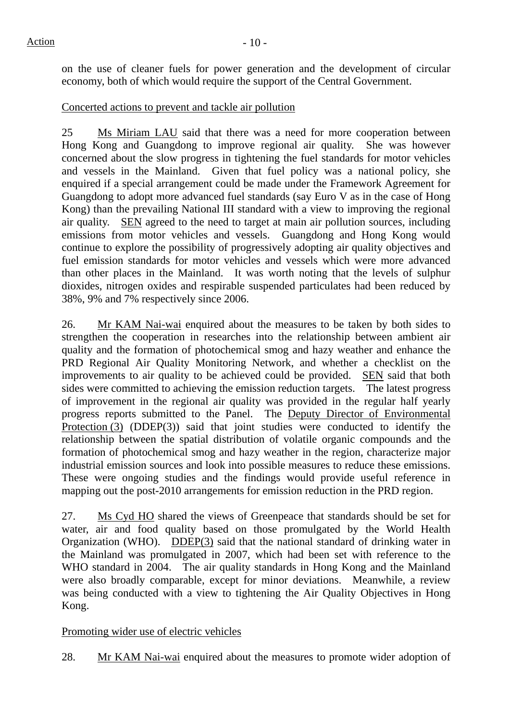on the use of cleaner fuels for power generation and the development of circular economy, both of which would require the support of the Central Government.

# Concerted actions to prevent and tackle air pollution

25 Ms Miriam LAU said that there was a need for more cooperation between Hong Kong and Guangdong to improve regional air quality. She was however concerned about the slow progress in tightening the fuel standards for motor vehicles and vessels in the Mainland. Given that fuel policy was a national policy, she enquired if a special arrangement could be made under the Framework Agreement for Guangdong to adopt more advanced fuel standards (say Euro V as in the case of Hong Kong) than the prevailing National III standard with a view to improving the regional air quality. SEN agreed to the need to target at main air pollution sources, including emissions from motor vehicles and vessels. Guangdong and Hong Kong would continue to explore the possibility of progressively adopting air quality objectives and fuel emission standards for motor vehicles and vessels which were more advanced than other places in the Mainland. It was worth noting that the levels of sulphur dioxides, nitrogen oxides and respirable suspended particulates had been reduced by 38%, 9% and 7% respectively since 2006.

26. Mr KAM Nai-wai enquired about the measures to be taken by both sides to strengthen the cooperation in researches into the relationship between ambient air quality and the formation of photochemical smog and hazy weather and enhance the PRD Regional Air Quality Monitoring Network, and whether a checklist on the improvements to air quality to be achieved could be provided. SEN said that both sides were committed to achieving the emission reduction targets. The latest progress of improvement in the regional air quality was provided in the regular half yearly progress reports submitted to the Panel. The Deputy Director of Environmental Protection (3) (DDEP(3)) said that joint studies were conducted to identify the relationship between the spatial distribution of volatile organic compounds and the formation of photochemical smog and hazy weather in the region, characterize major industrial emission sources and look into possible measures to reduce these emissions. These were ongoing studies and the findings would provide useful reference in mapping out the post-2010 arrangements for emission reduction in the PRD region.

27. Ms Cyd HO shared the views of Greenpeace that standards should be set for water, air and food quality based on those promulgated by the World Health Organization (WHO). DDEP(3) said that the national standard of drinking water in the Mainland was promulgated in 2007, which had been set with reference to the WHO standard in 2004. The air quality standards in Hong Kong and the Mainland were also broadly comparable, except for minor deviations. Meanwhile, a review was being conducted with a view to tightening the Air Quality Objectives in Hong Kong.

# Promoting wider use of electric vehicles

28. Mr KAM Nai-wai enquired about the measures to promote wider adoption of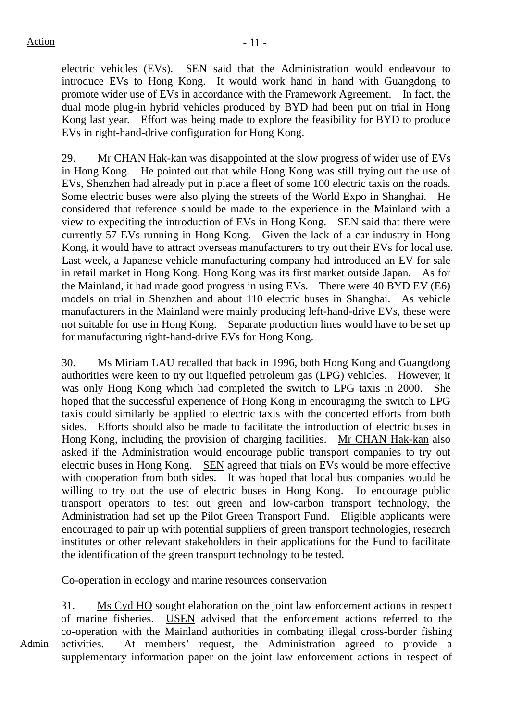electric vehicles (EVs). SEN said that the Administration would endeavour to introduce EVs to Hong Kong. It would work hand in hand with Guangdong to promote wider use of EVs in accordance with the Framework Agreement. In fact, the dual mode plug-in hybrid vehicles produced by BYD had been put on trial in Hong Kong last year. Effort was being made to explore the feasibility for BYD to produce EVs in right-hand-drive configuration for Hong Kong.

29. Mr CHAN Hak-kan was disappointed at the slow progress of wider use of EVs in Hong Kong. He pointed out that while Hong Kong was still trying out the use of EVs, Shenzhen had already put in place a fleet of some 100 electric taxis on the roads. Some electric buses were also plying the streets of the World Expo in Shanghai. He considered that reference should be made to the experience in the Mainland with a view to expediting the introduction of EVs in Hong Kong. SEN said that there were currently 57 EVs running in Hong Kong. Given the lack of a car industry in Hong Kong, it would have to attract overseas manufacturers to try out their EVs for local use. Last week, a Japanese vehicle manufacturing company had introduced an EV for sale in retail market in Hong Kong. Hong Kong was its first market outside Japan. As for the Mainland, it had made good progress in using EVs. There were 40 BYD EV (E6) models on trial in Shenzhen and about 110 electric buses in Shanghai. As vehicle manufacturers in the Mainland were mainly producing left-hand-drive EVs, these were not suitable for use in Hong Kong. Separate production lines would have to be set up for manufacturing right-hand-drive EVs for Hong Kong.

30. Ms Miriam LAU recalled that back in 1996, both Hong Kong and Guangdong authorities were keen to try out liquefied petroleum gas (LPG) vehicles. However, it was only Hong Kong which had completed the switch to LPG taxis in 2000. She hoped that the successful experience of Hong Kong in encouraging the switch to LPG taxis could similarly be applied to electric taxis with the concerted efforts from both sides. Efforts should also be made to facilitate the introduction of electric buses in Hong Kong, including the provision of charging facilities. Mr CHAN Hak-kan also asked if the Administration would encourage public transport companies to try out electric buses in Hong Kong. SEN agreed that trials on EVs would be more effective with cooperation from both sides. It was hoped that local bus companies would be willing to try out the use of electric buses in Hong Kong. To encourage public transport operators to test out green and low-carbon transport technology, the Administration had set up the Pilot Green Transport Fund. Eligible applicants were encouraged to pair up with potential suppliers of green transport technologies, research institutes or other relevant stakeholders in their applications for the Fund to facilitate the identification of the green transport technology to be tested.

Co-operation in ecology and marine resources conservation

31. Ms Cyd HO sought elaboration on the joint law enforcement actions in respect of marine fisheries. USEN advised that the enforcement actions referred to the co-operation with the Mainland authorities in combating illegal cross-border fishing activities. At members' request, the Administration agreed to provide a supplementary information paper on the joint law enforcement actions in respect of

Admin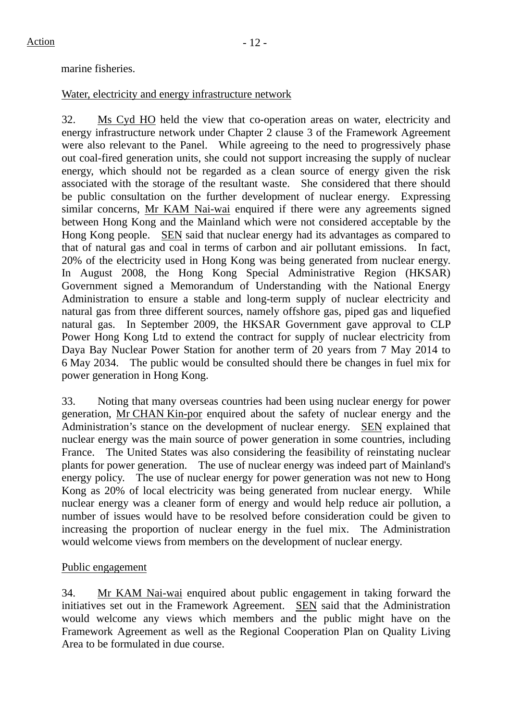#### marine fisheries.

#### Water, electricity and energy infrastructure network

32. Ms Cyd HO held the view that co-operation areas on water, electricity and energy infrastructure network under Chapter 2 clause 3 of the Framework Agreement were also relevant to the Panel. While agreeing to the need to progressively phase out coal-fired generation units, she could not support increasing the supply of nuclear energy, which should not be regarded as a clean source of energy given the risk associated with the storage of the resultant waste. She considered that there should be public consultation on the further development of nuclear energy. Expressing similar concerns, Mr KAM Nai-wai enquired if there were any agreements signed between Hong Kong and the Mainland which were not considered acceptable by the Hong Kong people. SEN said that nuclear energy had its advantages as compared to that of natural gas and coal in terms of carbon and air pollutant emissions. In fact, 20% of the electricity used in Hong Kong was being generated from nuclear energy. In August 2008, the Hong Kong Special Administrative Region (HKSAR) Government signed a Memorandum of Understanding with the National Energy Administration to ensure a stable and long-term supply of nuclear electricity and natural gas from three different sources, namely offshore gas, piped gas and liquefied natural gas. In September 2009, the HKSAR Government gave approval to CLP Power Hong Kong Ltd to extend the contract for supply of nuclear electricity from Daya Bay Nuclear Power Station for another term of 20 years from 7 May 2014 to 6 May 2034. The public would be consulted should there be changes in fuel mix for power generation in Hong Kong.

33. Noting that many overseas countries had been using nuclear energy for power generation, Mr CHAN Kin-por enquired about the safety of nuclear energy and the Administration's stance on the development of nuclear energy. SEN explained that nuclear energy was the main source of power generation in some countries, including France. The United States was also considering the feasibility of reinstating nuclear plants for power generation. The use of nuclear energy was indeed part of Mainland's energy policy. The use of nuclear energy for power generation was not new to Hong Kong as 20% of local electricity was being generated from nuclear energy. While nuclear energy was a cleaner form of energy and would help reduce air pollution, a number of issues would have to be resolved before consideration could be given to increasing the proportion of nuclear energy in the fuel mix. The Administration would welcome views from members on the development of nuclear energy.

### Public engagement

34. Mr KAM Nai-wai enquired about public engagement in taking forward the initiatives set out in the Framework Agreement. SEN said that the Administration would welcome any views which members and the public might have on the Framework Agreement as well as the Regional Cooperation Plan on Quality Living Area to be formulated in due course.